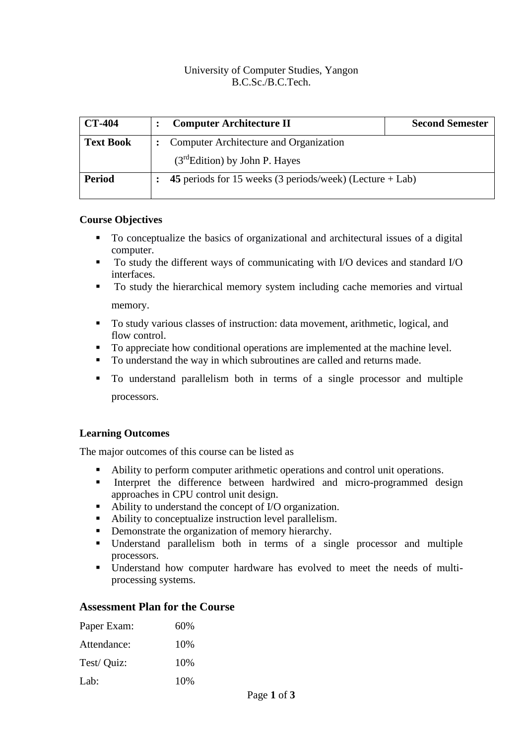#### University of Computer Studies, Yangon B.C.Sc./B.C.Tech.

| <b>CT-404</b>    | <b>Computer Architecture II</b>                            | <b>Second Semester</b> |  |  |  |  |
|------------------|------------------------------------------------------------|------------------------|--|--|--|--|
| <b>Text Book</b> | <b>Computer Architecture and Organization</b>              |                        |  |  |  |  |
|                  | $(3rdEdition)$ by John P. Hayes                            |                        |  |  |  |  |
| <b>Period</b>    | 45 periods for 15 weeks (3 periods/week) (Lecture $+$ Lab) |                        |  |  |  |  |

#### **Course Objectives**

- To conceptualize the basics of organizational and architectural issues of a digital computer.
- To study the different ways of communicating with I/O devices and standard I/O interfaces.
- To study the hierarchical memory system including cache memories and virtual memory.
- To study various classes of instruction: data movement, arithmetic, logical, and flow control.
- To appreciate how conditional operations are implemented at the machine level.
- To understand the way in which subroutines are called and returns made.
- To understand parallelism both in terms of a single processor and multiple processors.

## **Learning Outcomes**

The major outcomes of this course can be listed as

- Ability to perform computer arithmetic operations and control unit operations.
- **EXECUTE:** Interpret the difference between hardwired and micro-programmed design approaches in CPU control unit design.
- Ability to understand the concept of I/O organization.
- Ability to conceptualize instruction level parallelism.
- Demonstrate the organization of memory hierarchy.<br>■ Inderstand narallelism both in terms of a sir
- Understand parallelism both in terms of a single processor and multiple processors.
- Understand how computer hardware has evolved to meet the needs of multiprocessing systems.

## **Assessment Plan for the Course**

| 60%  |
|------|
| 10\% |
| 10\% |
| 10\% |
|      |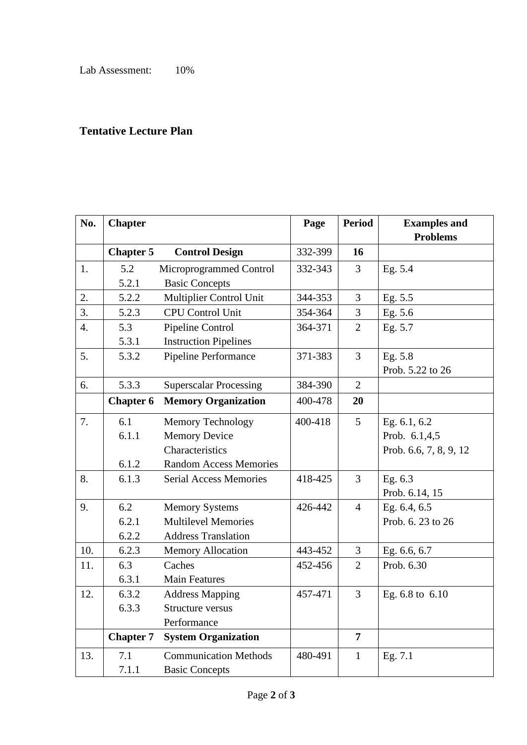# **Tentative Lecture Plan**

| No.              | <b>Chapter</b>   |                               | Page    | <b>Period</b>  | <b>Examples and</b>    |
|------------------|------------------|-------------------------------|---------|----------------|------------------------|
|                  |                  |                               |         |                | <b>Problems</b>        |
|                  | <b>Chapter 5</b> | <b>Control Design</b>         | 332-399 | 16             |                        |
| 1.               | 5.2              | Microprogrammed Control       | 332-343 | 3              | Eg. 5.4                |
|                  | 5.2.1            | <b>Basic Concepts</b>         |         |                |                        |
| 2.               | 5.2.2            | Multiplier Control Unit       | 344-353 | 3              | Eg. 5.5                |
| $\overline{3}$ . | 5.2.3            | <b>CPU Control Unit</b>       | 354-364 | 3              | Eg. 5.6                |
| 4.               | 5.3              | Pipeline Control              | 364-371 | $\overline{2}$ | Eg. 5.7                |
|                  | 5.3.1            | <b>Instruction Pipelines</b>  |         |                |                        |
| 5.               | 5.3.2            | Pipeline Performance          | 371-383 | 3              | Eg. 5.8                |
|                  |                  |                               |         |                | Prob. 5.22 to 26       |
| 6.               | 5.3.3            | <b>Superscalar Processing</b> | 384-390 | $\overline{2}$ |                        |
|                  | <b>Chapter 6</b> | <b>Memory Organization</b>    | 400-478 | 20             |                        |
| 7.               | 6.1              | Memory Technology             | 400-418 | 5              | Eg. 6.1, 6.2           |
|                  | 6.1.1            | <b>Memory Device</b>          |         |                | Prob. 6.1,4,5          |
|                  |                  | Characteristics               |         |                | Prob. 6.6, 7, 8, 9, 12 |
|                  | 6.1.2            | <b>Random Access Memories</b> |         |                |                        |
| 8.               | 6.1.3            | <b>Serial Access Memories</b> | 418-425 | $\overline{3}$ | Eg. 6.3                |
|                  |                  |                               |         |                | Prob. 6.14, 15         |
| 9.               | 6.2              | <b>Memory Systems</b>         | 426-442 | $\overline{4}$ | Eg. 6.4, 6.5           |
|                  | 6.2.1            | <b>Multilevel Memories</b>    |         |                | Prob. 6. 23 to 26      |
|                  | 6.2.2            | <b>Address Translation</b>    |         |                |                        |
| 10.              | 6.2.3            | Memory Allocation             | 443-452 | 3              | Eg. 6.6, 6.7           |
| 11.              | 6.3              | Caches                        | 452-456 | $\overline{2}$ | Prob. 6.30             |
|                  | 6.3.1            | <b>Main Features</b>          |         |                |                        |
| 12.              | 6.3.2            | <b>Address Mapping</b>        | 457-471 | 3              | Eg. 6.8 to 6.10        |
|                  | 6.3.3            | Structure versus              |         |                |                        |
|                  |                  | Performance                   |         |                |                        |
|                  | <b>Chapter 7</b> | <b>System Organization</b>    |         | $\overline{7}$ |                        |
| 13.              | 7.1              | <b>Communication Methods</b>  | 480-491 | $\mathbf{1}$   | Eg. 7.1                |
|                  | 7.1.1            | <b>Basic Concepts</b>         |         |                |                        |